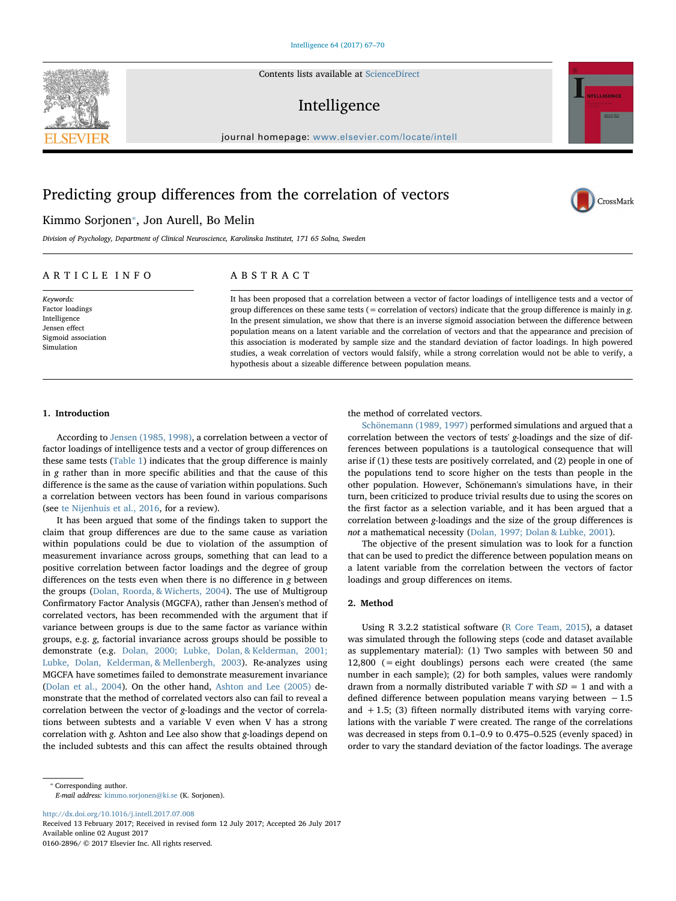Contents lists available at [ScienceDirect](http://www.sciencedirect.com/science/journal/01602896)

# Intelligence

journal homepage: [www.elsevier.com/locate/intell](http://www.elsevier.com/locate/intell)

# Predicting group differences from the correlation of vectors

# Kimmo Sorjonen[⁎](#page-0-0) , Jon Aurell, Bo Melin

Division of Psychology, Department of Clinical Neuroscience, Karolinska Institutet, 171 65 Solna, Sweden

# ARTICLE INFO

Keywords: Factor loadings Intelligence Jensen effect Sigmoid association Simulation

# ABSTRACT

It has been proposed that a correlation between a vector of factor loadings of intelligence tests and a vector of group differences on these same tests ( $=$  correlation of vectors) indicate that the group difference is mainly in g. In the present simulation, we show that there is an inverse sigmoid association between the difference between population means on a latent variable and the correlation of vectors and that the appearance and precision of this association is moderated by sample size and the standard deviation of factor loadings. In high powered studies, a weak correlation of vectors would falsify, while a strong correlation would not be able to verify, a hypothesis about a sizeable difference between population means.

# 1. Introduction

According to [Jensen \(1985, 1998\)](#page-3-0), a correlation between a vector of factor loadings of intelligence tests and a vector of group differences on these same tests ([Table 1](#page-1-0)) indicates that the group difference is mainly in g rather than in more specific abilities and that the cause of this difference is the same as the cause of variation within populations. Such a correlation between vectors has been found in various comparisons (see [te Nijenhuis et al., 2016,](#page-3-1) for a review).

It has been argued that some of the findings taken to support the claim that group differences are due to the same cause as variation within populations could be due to violation of the assumption of measurement invariance across groups, something that can lead to a positive correlation between factor loadings and the degree of group differences on the tests even when there is no difference in g between the groups [\(Dolan, Roorda, & Wicherts, 2004](#page-3-2)). The use of Multigroup Confirmatory Factor Analysis (MGCFA), rather than Jensen's method of correlated vectors, has been recommended with the argument that if variance between groups is due to the same factor as variance within groups, e.g. g, factorial invariance across groups should be possible to demonstrate (e.g. [Dolan, 2000; Lubke, Dolan, & Kelderman, 2001;](#page-3-3) [Lubke, Dolan, Kelderman, & Mellenbergh, 2003\)](#page-3-3). Re-analyzes using MGCFA have sometimes failed to demonstrate measurement invariance ([Dolan et al., 2004](#page-3-2)). On the other hand, [Ashton and Lee \(2005\)](#page-2-0) demonstrate that the method of correlated vectors also can fail to reveal a correlation between the vector of g-loadings and the vector of correlations between subtests and a variable V even when V has a strong correlation with g. Ashton and Lee also show that g-loadings depend on the included subtests and this can affect the results obtained through the method of correlated vectors.

[Schönemann \(1989, 1997\)](#page-3-4) performed simulations and argued that a correlation between the vectors of tests' g-loadings and the size of differences between populations is a tautological consequence that will arise if (1) these tests are positively correlated, and (2) people in one of the populations tend to score higher on the tests than people in the other population. However, Schönemann's simulations have, in their turn, been criticized to produce trivial results due to using the scores on the first factor as a selection variable, and it has been argued that a correlation between g-loadings and the size of the group differences is not a mathematical necessity ([Dolan, 1997; Dolan & Lubke, 2001](#page-2-1)).

The objective of the present simulation was to look for a function that can be used to predict the difference between population means on a latent variable from the correlation between the vectors of factor loadings and group differences on items.

# 2. Method

Using R 3.2.2 statistical software [\(R Core Team, 2015\)](#page-3-5), a dataset was simulated through the following steps (code and dataset available as supplementary material): (1) Two samples with between 50 and 12,800 (=eight doublings) persons each were created (the same number in each sample); (2) for both samples, values were randomly drawn from a normally distributed variable T with  $SD = 1$  and with a defined difference between population means varying between −1.5 and  $+1.5$ ; (3) fifteen normally distributed items with varying correlations with the variable T were created. The range of the correlations was decreased in steps from 0.1–0.9 to 0.475–0.525 (evenly spaced) in order to vary the standard deviation of the factor loadings. The average

<http://dx.doi.org/10.1016/j.intell.2017.07.008>

Received 13 February 2017; Received in revised form 12 July 2017; Accepted 26 July 2017 Available online 02 August 2017 0160-2896/ © 2017 Elsevier Inc. All rights reserved.





CrossMark

<span id="page-0-0"></span><sup>⁎</sup> Corresponding author. E-mail address: [kimmo.sorjonen@ki.se](mailto:kimmo.sorjonen@ki.se) (K. Sorjonen).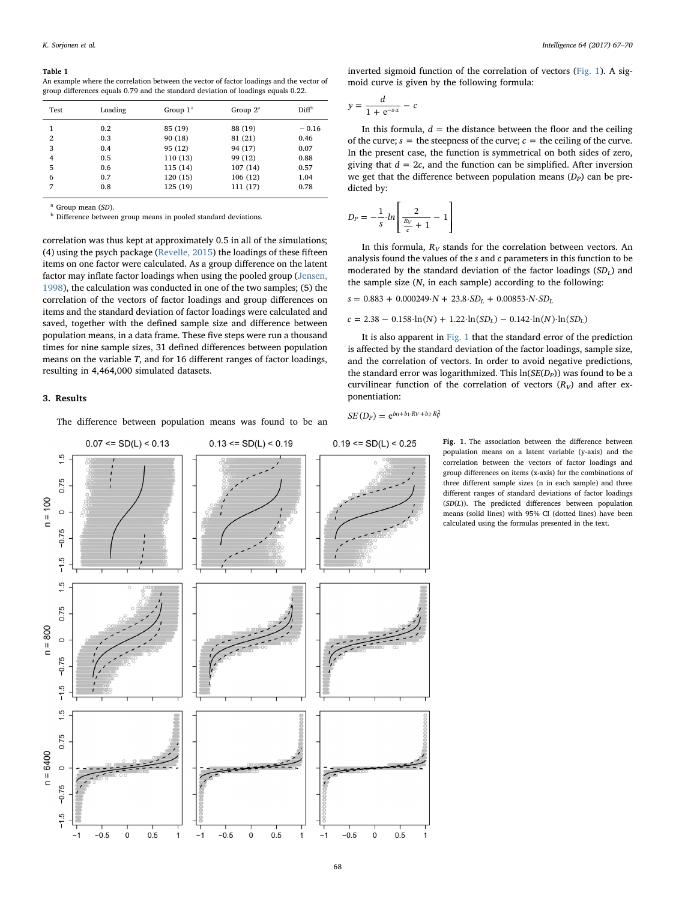### <span id="page-1-0"></span>Table 1

An example where the correlation between the vector of factor loadings and the vector of group differences equals 0.79 and the standard deviation of loadings equals 0.22.

| Test           | Loading | Group $1^a$ | Group $2^a$ | Diff <sup>b</sup> |
|----------------|---------|-------------|-------------|-------------------|
| 1              | 0.2     | 85 (19)     | 88 (19)     | $-0.16$           |
| $\overline{2}$ | 0.3     | 90 (18)     | 81 (21)     | 0.46              |
| 3              | 0.4     | 95 (12)     | 94 (17)     | 0.07              |
| 4              | 0.5     | 110(13)     | 99 (12)     | 0.88              |
| 5              | 0.6     | 115(14)     | 107(14)     | 0.57              |
| 6              | 0.7     | 120(15)     | 106 (12)    | 1.04              |
| 7              | 0.8     | 125 (19)    | 111(17)     | 0.78              |

<span id="page-1-2"></span><sup>a</sup> Group mean (SD).

<span id="page-1-3"></span><sup>b</sup> Difference between group means in pooled standard deviations.

correlation was thus kept at approximately 0.5 in all of the simulations; (4) using the psych package ([Revelle, 2015](#page-3-6)) the loadings of these fifteen items on one factor were calculated. As a group difference on the latent factor may inflate factor loadings when using the pooled group ([Jensen,](#page-3-7) [1998\)](#page-3-7), the calculation was conducted in one of the two samples; (5) the correlation of the vectors of factor loadings and group differences on items and the standard deviation of factor loadings were calculated and saved, together with the defined sample size and difference between population means, in a data frame. These five steps were run a thousand times for nine sample sizes, 31 defined differences between population means on the variable T, and for 16 different ranges of factor loadings, resulting in 4,464,000 simulated datasets.

## 3. Results

The difference between population means was found to be an

<span id="page-1-1"></span>

inverted sigmoid function of the correlation of vectors [\(Fig. 1\)](#page-1-1). A sigmoid curve is given by the following formula:

$$
y = \frac{d}{1 + e^{-sx}} - c
$$

In this formula,  $d =$  the distance between the floor and the ceiling of the curve;  $s =$  the steepness of the curve;  $c =$  the ceiling of the curve. In the present case, the function is symmetrical on both sides of zero, giving that  $d = 2c$ , and the function can be simplified. After inversion we get that the difference between population means  $(D_p)$  can be predicted by:

$$
D_P = -\frac{1}{s} \cdot ln\left[\frac{2}{\frac{R_V}{c} + 1} - 1\right]
$$

In this formula,  $R_V$  stands for the correlation between vectors. An analysis found the values of the  $s$  and  $c$  parameters in this function to be moderated by the standard deviation of the factor loadings  $(SD<sub>L</sub>)$  and the sample size (N, in each sample) according to the following:

 $s = 0.883 + 0.000249 \cdot N + 23.8 \cdot SD_L + 0.00853 \cdot N \cdot SD_L$ 

$$
c = 2.38 - 0.158 \cdot \ln(N) + 1.22 \cdot \ln(SD_L) - 0.142 \cdot \ln(N) \cdot \ln(SD_L)
$$

It is also apparent in [Fig. 1](#page-1-1) that the standard error of the prediction is affected by the standard deviation of the factor loadings, sample size, and the correlation of vectors. In order to avoid negative predictions, the standard error was logarithmized. This  $ln(SE(D_P))$  was found to be a curvilinear function of the correlation of vectors  $(R_V)$  and after exponentiation:

$$
SE(D_P) = e^{b_0 + b_1 \cdot R_V + b_2 \cdot R_V^2}
$$

Fig. 1. The association between the difference between population means on a latent variable (y-axis) and the correlation between the vectors of factor loadings and group differences on items (x-axis) for the combinations of three different sample sizes (n in each sample) and three different ranges of standard deviations of factor loadings (SD(L)). The predicted differences between population means (solid lines) with 95% CI (dotted lines) have been calculated using the formulas presented in the text.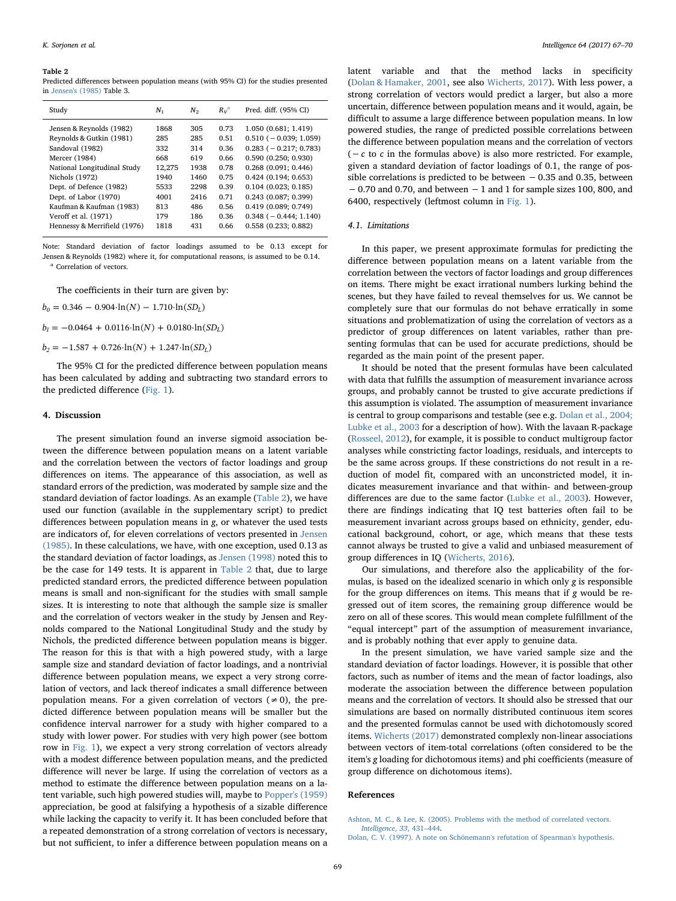#### <span id="page-2-2"></span>Table 2

Predicted differences between population means (with 95% CI) for the studies presented in [Jensen's \(1985\)](#page-3-0) Table 3.

| Study                        | $N_1$  | N <sub>2</sub> | $Rv^a$ | Pred. diff. (95% CI)        |
|------------------------------|--------|----------------|--------|-----------------------------|
| Jensen & Reynolds (1982)     | 1868   | 305            | 0.73   | 1.050 (0.681: 1.419)        |
| Reynolds & Gutkin (1981)     | 285    | 285            | 0.51   | $0.510(-0.039; 1.059)$      |
| Sandoval (1982)              | 332    | 314            | 0.36   | $0.283$ ( $-0.217$ ; 0.783) |
| Mercer (1984)                | 668    | 619            | 0.66   | 0.590(0.250:0.930)          |
| National Longitudinal Study  | 12,275 | 1938           | 0.78   | 0.268(0.091:0.446)          |
| Nichols (1972)               | 1940   | 1460           | 0.75   | 0.424(0.194; 0.653)         |
| Dept. of Defence (1982)      | 5533   | 2298           | 0.39   | $0.104$ (0.023; 0.185)      |
| Dept. of Labor (1970)        | 4001   | 2416           | 0.71   | 0.243(0.087; 0.399)         |
| Kaufman & Kaufman (1983)     | 813    | 486            | 0.56   | 0.419(0.089; 0.749)         |
| Veroff et al. (1971)         | 179    | 186            | 0.36   | $0.348$ ( $-0.444$ ; 1.140) |
| Hennessy & Merrifield (1976) | 1818   | 431            | 0.66   | $0.558$ $(0.233; 0.882)$    |
|                              |        |                |        |                             |

<span id="page-2-3"></span>Note: Standard deviation of factor loadings assumed to be 0.13 except for Jensen & Reynolds (1982) where it, for computational reasons, is assumed to be 0.14. <sup>a</sup> Correlation of vectors.

The coefficients in their turn are given by:

 $b_0 = 0.346 - 0.904 \cdot \ln(N) - 1.710 \cdot \ln(SD_L)$ 

 $b_1 = -0.0464 + 0.0116 \cdot \ln(N) + 0.0180 \cdot \ln(SD_L)$ 

 $b_2 = -1.587 + 0.726 \cdot \ln(N) + 1.247 \cdot \ln(SD)$ 

The 95% CI for the predicted difference between population means has been calculated by adding and subtracting two standard errors to the predicted difference [\(Fig. 1](#page-1-1)).

## 4. Discussion

The present simulation found an inverse sigmoid association between the difference between population means on a latent variable and the correlation between the vectors of factor loadings and group differences on items. The appearance of this association, as well as standard errors of the prediction, was moderated by sample size and the standard deviation of factor loadings. As an example [\(Table 2](#page-2-2)), we have used our function (available in the supplementary script) to predict differences between population means in g, or whatever the used tests are indicators of, for eleven correlations of vectors presented in [Jensen](#page-3-0) [\(1985\).](#page-3-0) In these calculations, we have, with one exception, used 0.13 as the standard deviation of factor loadings, as [Jensen \(1998\)](#page-3-7) noted this to be the case for 149 tests. It is apparent in [Table 2](#page-2-2) that, due to large predicted standard errors, the predicted difference between population means is small and non-significant for the studies with small sample sizes. It is interesting to note that although the sample size is smaller and the correlation of vectors weaker in the study by Jensen and Reynolds compared to the National Longitudinal Study and the study by Nichols, the predicted difference between population means is bigger. The reason for this is that with a high powered study, with a large sample size and standard deviation of factor loadings, and a nontrivial difference between population means, we expect a very strong correlation of vectors, and lack thereof indicates a small difference between population means. For a given correlation of vectors ( $\neq$ 0), the predicted difference between population means will be smaller but the confidence interval narrower for a study with higher compared to a study with lower power. For studies with very high power (see bottom row in [Fig. 1\)](#page-1-1), we expect a very strong correlation of vectors already with a modest difference between population means, and the predicted difference will never be large. If using the correlation of vectors as a method to estimate the difference between population means on a latent variable, such high powered studies will, maybe to [Popper's \(1959\)](#page-3-8) appreciation, be good at falsifying a hypothesis of a sizable difference while lacking the capacity to verify it. It has been concluded before that a repeated demonstration of a strong correlation of vectors is necessary, but not sufficient, to infer a difference between population means on a

latent variable and that the method lacks in specificity ([Dolan & Hamaker, 2001](#page-3-9), see also [Wicherts, 2017](#page-3-10)). With less power, a strong correlation of vectors would predict a larger, but also a more uncertain, difference between population means and it would, again, be difficult to assume a large difference between population means. In low powered studies, the range of predicted possible correlations between the difference between population means and the correlation of vectors  $(-c \text{ to } c \text{ in the formulas above})$  is also more restricted. For example, given a standard deviation of factor loadings of 0.1, the range of possible correlations is predicted to be between  $-0.35$  and 0.35, between −0.70 and 0.70, and between −1 and 1 for sample sizes 100, 800, and 6400, respectively (leftmost column in [Fig. 1](#page-1-1)).

# 4.1. Limitations

In this paper, we present approximate formulas for predicting the difference between population means on a latent variable from the correlation between the vectors of factor loadings and group differences on items. There might be exact irrational numbers lurking behind the scenes, but they have failed to reveal themselves for us. We cannot be completely sure that our formulas do not behave erratically in some situations and problematization of using the correlation of vectors as a predictor of group differences on latent variables, rather than presenting formulas that can be used for accurate predictions, should be regarded as the main point of the present paper.

It should be noted that the present formulas have been calculated with data that fulfills the assumption of measurement invariance across groups, and probably cannot be trusted to give accurate predictions if this assumption is violated. The assumption of measurement invariance is central to group comparisons and testable (see e.g. [Dolan et al., 2004;](#page-3-2) [Lubke et al., 2003](#page-3-2) for a description of how). With the lavaan R-package ([Rosseel, 2012\)](#page-3-11), for example, it is possible to conduct multigroup factor analyses while constricting factor loadings, residuals, and intercepts to be the same across groups. If these constrictions do not result in a reduction of model fit, compared with an unconstricted model, it indicates measurement invariance and that within- and between-group differences are due to the same factor ([Lubke et al., 2003\)](#page-3-12). However, there are findings indicating that IQ test batteries often fail to be measurement invariant across groups based on ethnicity, gender, educational background, cohort, or age, which means that these tests cannot always be trusted to give a valid and unbiased measurement of group differences in IQ ([Wicherts, 2016](#page-3-13)).

Our simulations, and therefore also the applicability of the formulas, is based on the idealized scenario in which only g is responsible for the group differences on items. This means that if g would be regressed out of item scores, the remaining group difference would be zero on all of these scores. This would mean complete fulfillment of the "equal intercept" part of the assumption of measurement invariance, and is probably nothing that ever apply to genuine data.

In the present simulation, we have varied sample size and the standard deviation of factor loadings. However, it is possible that other factors, such as number of items and the mean of factor loadings, also moderate the association between the difference between population means and the correlation of vectors. It should also be stressed that our simulations are based on normally distributed continuous item scores and the presented formulas cannot be used with dichotomously scored items. [Wicherts \(2017\)](#page-3-10) demonstrated complexly non-linear associations between vectors of item-total correlations (often considered to be the item's g loading for dichotomous items) and phi coefficients (measure of group difference on dichotomous items).

## References

<span id="page-2-0"></span>[Ashton, M. C., & Lee, K. \(2005\). Problems with the method of correlated vectors.](http://refhub.elsevier.com/S0160-2896(17)30031-4/rf0005) [Intelligence](http://refhub.elsevier.com/S0160-2896(17)30031-4/rf0005), 33, 431–444.

<span id="page-2-1"></span>[Dolan, C. V. \(1997\). A note on Schönemann's refutation of Spearman's hypothesis.](http://refhub.elsevier.com/S0160-2896(17)30031-4/rf0010)